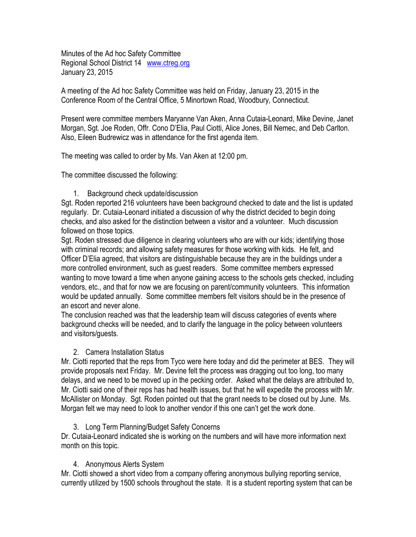Minutes of the Ad hoc Safety Committee Regional School District 14 [www.ctreg.org](http://www.ctreg.org/) January 23, 2015

A meeting of the Ad hoc Safety Committee was held on Friday, January 23, 2015 in the Conference Room of the Central Office, 5 Minortown Road, Woodbury, Connecticut.

Present were committee members Maryanne Van Aken, Anna Cutaia-Leonard, Mike Devine, Janet Morgan, Sgt. Joe Roden, Offr. Cono D'Elia, Paul Ciotti, Alice Jones, Bill Nemec, and Deb Carlton. Also, Eileen Budrewicz was in attendance for the first agenda item.

The meeting was called to order by Ms. Van Aken at 12:00 pm.

The committee discussed the following:

1. Background check update/discussion

Sgt. Roden reported 216 volunteers have been background checked to date and the list is updated regularly. Dr. Cutaia-Leonard initiated a discussion of why the district decided to begin doing checks, and also asked for the distinction between a visitor and a volunteer. Much discussion followed on those topics.

Sgt. Roden stressed due diligence in clearing volunteers who are with our kids; identifying those with criminal records; and allowing safety measures for those working with kids. He felt, and Officer D'Elia agreed, that visitors are distinguishable because they are in the buildings under a more controlled environment, such as guest readers. Some committee members expressed wanting to move toward a time when anyone gaining access to the schools gets checked, including vendors, etc., and that for now we are focusing on parent/community volunteers. This information would be updated annually. Some committee members felt visitors should be in the presence of an escort and never alone.

The conclusion reached was that the leadership team will discuss categories of events where background checks will be needed, and to clarify the language in the policy between volunteers and visitors/guests.

## 2. Camera Installation Status

Mr. Ciotti reported that the reps from Tyco were here today and did the perimeter at BES. They will provide proposals next Friday. Mr. Devine felt the process was dragging out too long, too many delays, and we need to be moved up in the pecking order. Asked what the delays are attributed to, Mr. Ciotti said one of their reps has had health issues, but that he will expedite the process with Mr. McAllister on Monday. Sgt. Roden pointed out that the grant needs to be closed out by June. Ms. Morgan felt we may need to look to another vendor if this one can't get the work done.

## 3. Long Term Planning/Budget Safety Concerns

Dr. Cutaia-Leonard indicated she is working on the numbers and will have more information next month on this topic.

## 4. Anonymous Alerts System

Mr. Ciotti showed a short video from a company offering anonymous bullying reporting service, currently utilized by 1500 schools throughout the state. It is a student reporting system that can be